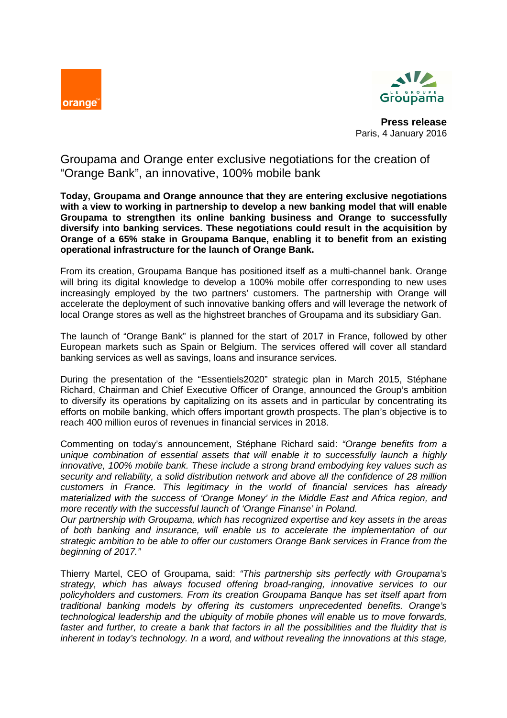



**Press release**  Paris, 4 January 2016

Groupama and Orange enter exclusive negotiations for the creation of "Orange Bank", an innovative, 100% mobile bank

**Today, Groupama and Orange announce that they are entering exclusive negotiations with a view to working in partnership to develop a new banking model that will enable Groupama to strengthen its online banking business and Orange to successfully diversify into banking services. These negotiations could result in the acquisition by Orange of a 65% stake in Groupama Banque, enabling it to benefit from an existing operational infrastructure for the launch of Orange Bank.** 

From its creation, Groupama Banque has positioned itself as a multi-channel bank. Orange will bring its digital knowledge to develop a 100% mobile offer corresponding to new uses increasingly employed by the two partners' customers. The partnership with Orange will accelerate the deployment of such innovative banking offers and will leverage the network of local Orange stores as well as the highstreet branches of Groupama and its subsidiary Gan.

The launch of "Orange Bank" is planned for the start of 2017 in France, followed by other European markets such as Spain or Belgium. The services offered will cover all standard banking services as well as savings, loans and insurance services.

During the presentation of the "Essentiels2020" strategic plan in March 2015, Stéphane Richard, Chairman and Chief Executive Officer of Orange, announced the Group's ambition to diversify its operations by capitalizing on its assets and in particular by concentrating its efforts on mobile banking, which offers important growth prospects. The plan's objective is to reach 400 million euros of revenues in financial services in 2018.

Commenting on today's announcement, Stéphane Richard said: "Orange benefits from a unique combination of essential assets that will enable it to successfully launch a highly innovative, 100% mobile bank. These include a strong brand embodying key values such as security and reliability, a solid distribution network and above all the confidence of 28 million customers in France. This legitimacy in the world of financial services has already materialized with the success of 'Orange Money' in the Middle East and Africa region, and more recently with the successful launch of 'Orange Finanse' in Poland.

Our partnership with Groupama, which has recognized expertise and key assets in the areas of both banking and insurance, will enable us to accelerate the implementation of our strategic ambition to be able to offer our customers Orange Bank services in France from the beginning of 2017."

Thierry Martel, CEO of Groupama, said: "This partnership sits perfectly with Groupama's strategy, which has always focused offering broad-ranging, innovative services to our policyholders and customers. From its creation Groupama Banque has set itself apart from traditional banking models by offering its customers unprecedented benefits. Orange's technological leadership and the ubiquity of mobile phones will enable us to move forwards, faster and further, to create a bank that factors in all the possibilities and the fluidity that is inherent in today's technology. In a word, and without revealing the innovations at this stage,